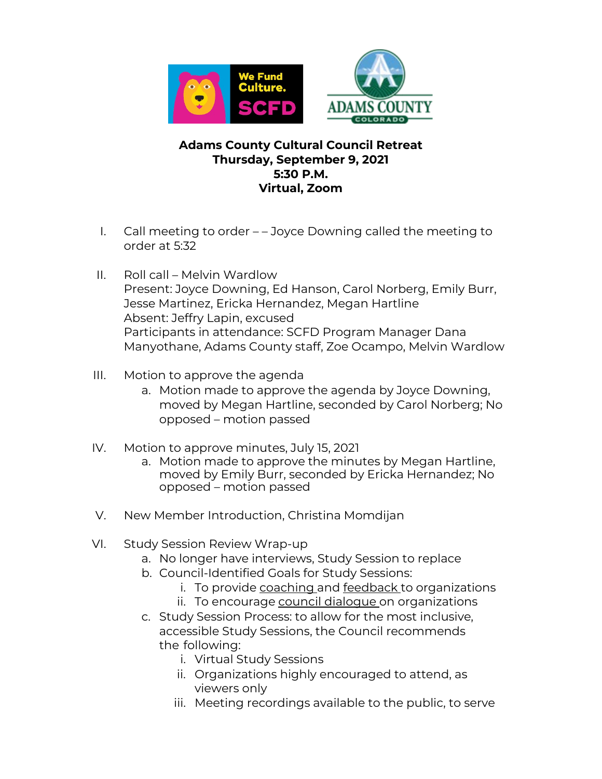

## **Adams County Cultural Council Retreat Thursday, September 9, 2021 5:30 P.M. Virtual, Zoom**

- I. Call meeting to order – Joyce Downing called the meeting to order at 5:32
- II. Roll call Melvin Wardlow Present: Joyce Downing, Ed Hanson, Carol Norberg, Emily Burr, Jesse Martinez, Ericka Hernandez, Megan Hartline Absent: Jeffry Lapin, excused Participants in attendance: SCFD Program Manager Dana Manyothane, Adams County staff, Zoe Ocampo, Melvin Wardlow
- III. Motion to approve the agenda
	- a. Motion made to approve the agenda by Joyce Downing, moved by Megan Hartline, seconded by Carol Norberg; No opposed – motion passed
- IV. Motion to approve minutes, July 15, 2021
	- a. Motion made to approve the minutes by Megan Hartline, moved by Emily Burr, seconded by Ericka Hernandez; No opposed – motion passed
- V. New Member Introduction, Christina Momdijan
- VI. Study Session Review Wrap-up
	- a. No longer have interviews, Study Session to replace
	- b. Council-Identified Goals for Study Sessions:
		- i. To provide coaching and feedback to organizations
		- ii. To encourage council dialogue on organizations
	- c. Study Session Process: to allow for the most inclusive, accessible Study Sessions, the Council recommends the following:
		- i. Virtual Study Sessions
		- ii. Organizations highly encouraged to attend, as viewers only
		- iii. Meeting recordings available to the public, to serve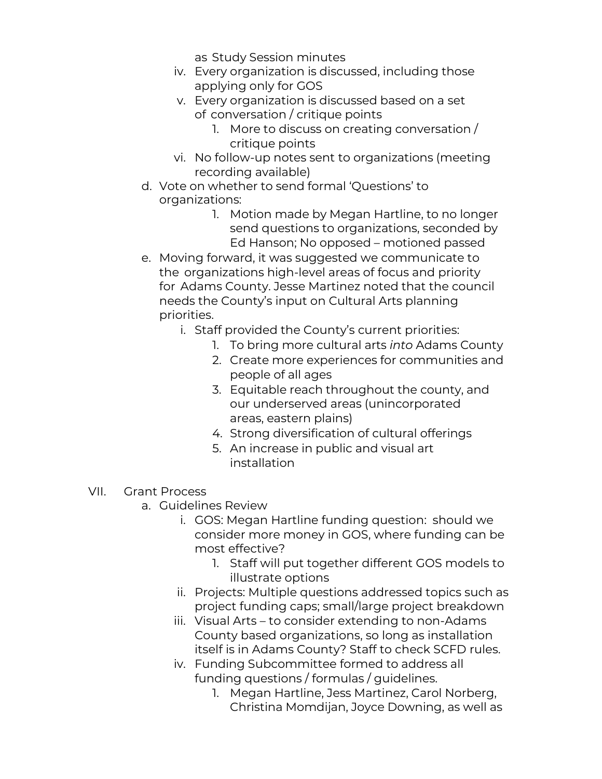as Study Session minutes

- iv. Every organization is discussed, including those applying only for GOS
- v. Every organization is discussed based on a set of conversation / critique points
	- 1. More to discuss on creating conversation / critique points
- vi. No follow-up notes sent to organizations (meeting recording available)
- d. Vote on whether to send formal 'Questions' to organizations:
	- 1. Motion made by Megan Hartline, to no longer send questions to organizations, seconded by Ed Hanson; No opposed – motioned passed
- e. Moving forward, it was suggested we communicate to the organizations high-level areas of focus and priority for Adams County. Jesse Martinez noted that the council needs the County's input on Cultural Arts planning priorities.
	- i. Staff provided the County's current priorities:
		- 1. To bring more cultural arts *into* Adams County
		- 2. Create more experiences for communities and people of all ages
		- 3. Equitable reach throughout the county, and our underserved areas (unincorporated areas, eastern plains)
		- 4. Strong diversification of cultural offerings
		- 5. An increase in public and visual art installation
- VII. Grant Process
	- a. Guidelines Review
		- i. GOS: Megan Hartline funding question: should we consider more money in GOS, where funding can be most effective?
			- 1. Staff will put together different GOS models to illustrate options
		- ii. Projects: Multiple questions addressed topics such as project funding caps; small/large project breakdown
		- iii. Visual Arts to consider extending to non-Adams County based organizations, so long as installation itself is in Adams County? Staff to check SCFD rules.
		- iv. Funding Subcommittee formed to address all funding questions / formulas / guidelines.
			- 1. Megan Hartline, Jess Martinez, Carol Norberg, Christina Momdijan, Joyce Downing, as well as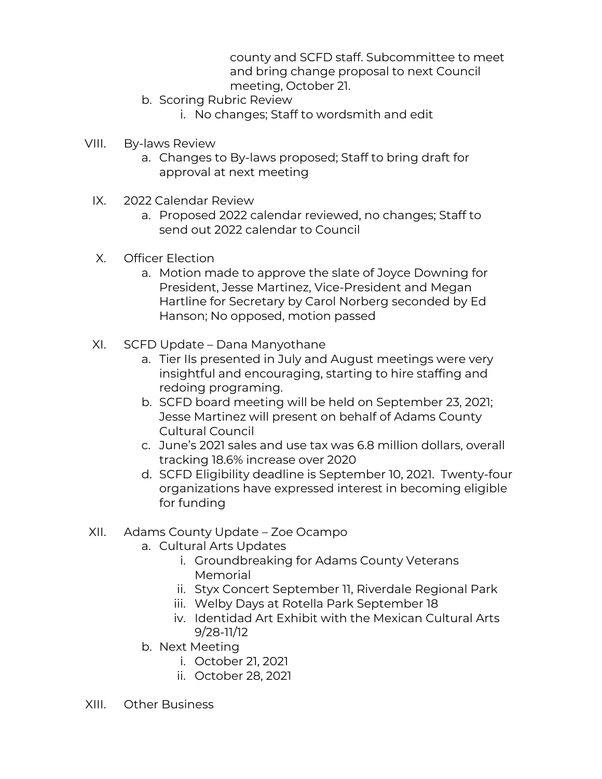county and SCFD staff. Subcommittee to meet and bring change proposal to next Council meeting, October 21.

- b. Scoring Rubric Review
	- i. No changes; Staff to wordsmith and edit
- VIII. By-laws Review
	- a. Changes to By-laws proposed; Staff to bring draft for approval at next meeting
	- IX. 2022 Calendar Review
		- a. Proposed 2022 calendar reviewed, no changes; Staff to send out 2022 calendar to Council
	- X. Officer Election
		- a. Motion made to approve the slate of Joyce Downing for President, Jesse Martinez, Vice-President and Megan Hartline for Secretary by Carol Norberg seconded by Ed Hanson; No opposed, motion passed
	- XI. SCFD Update Dana Manyothane
		- a. Tier IIs presented in July and August meetings were very insightful and encouraging, starting to hire staffing and redoing programing.
		- b. SCFD board meeting will be held on September 23, 2021; Jesse Martinez will present on behalf of Adams County Cultural Council
		- c. June's 2021 sales and use tax was 6.8 million dollars, overall tracking 18.6% increase over 2020
		- d. SCFD Eligibility deadline is September 10, 2021. Twenty-four organizations have expressed interest in becoming eligible for funding
- XII. Adams County Update Zoe Ocampo
	- a. Cultural Arts Updates
		- i. Groundbreaking for Adams County Veterans Memorial
		- ii. Styx Concert September 11, Riverdale Regional Park
		- iii. Welby Days at Rotella Park September 18
		- iv. Identidad Art Exhibit with the Mexican Cultural Arts 9/28-11/12
	- b. Next Meeting
		- i. October 21, 2021
		- ii. October 28, 2021
- XIII. Other Business